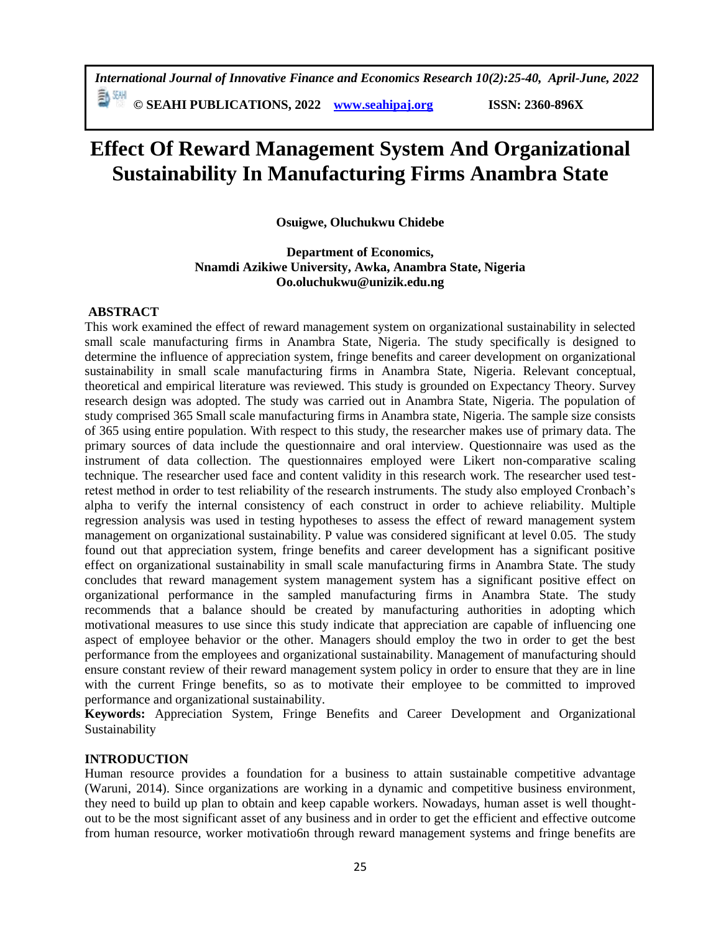# **Effect Of Reward Management System And Organizational Sustainability In Manufacturing Firms Anambra State**

**Osuigwe, Oluchukwu Chidebe**

# **Department of Economics, Nnamdi Azikiwe University, Awka, Anambra State, Nigeria Oo.oluchukwu@unizik.edu.ng**

# **ABSTRACT**

This work examined the effect of reward management system on organizational sustainability in selected small scale manufacturing firms in Anambra State, Nigeria. The study specifically is designed to determine the influence of appreciation system, fringe benefits and career development on organizational sustainability in small scale manufacturing firms in Anambra State, Nigeria. Relevant conceptual, theoretical and empirical literature was reviewed. This study is grounded on Expectancy Theory. Survey research design was adopted. The study was carried out in Anambra State, Nigeria. The population of study comprised 365 Small scale manufacturing firms in Anambra state, Nigeria. The sample size consists of 365 using entire population. With respect to this study, the researcher makes use of primary data. The primary sources of data include the questionnaire and oral interview. Questionnaire was used as the instrument of data collection. The questionnaires employed were Likert non-comparative scaling technique. The researcher used face and content validity in this research work. The researcher used testretest method in order to test reliability of the research instruments. The study also employed Cronbach's alpha to verify the internal consistency of each construct in order to achieve reliability. Multiple regression analysis was used in testing hypotheses to assess the effect of reward management system management on organizational sustainability. P value was considered significant at level 0.05. The study found out that appreciation system, fringe benefits and career development has a significant positive effect on organizational sustainability in small scale manufacturing firms in Anambra State. The study concludes that reward management system management system has a significant positive effect on organizational performance in the sampled manufacturing firms in Anambra State. The study recommends that a balance should be created by manufacturing authorities in adopting which motivational measures to use since this study indicate that appreciation are capable of influencing one aspect of employee behavior or the other. Managers should employ the two in order to get the best performance from the employees and organizational sustainability. Management of manufacturing should ensure constant review of their reward management system policy in order to ensure that they are in line with the current Fringe benefits, so as to motivate their employee to be committed to improved performance and organizational sustainability.

**Keywords:** Appreciation System, Fringe Benefits and Career Development and Organizational Sustainability

# **INTRODUCTION**

Human resource provides a foundation for a business to attain sustainable competitive advantage (Waruni, 2014). Since organizations are working in a dynamic and competitive business environment, they need to build up plan to obtain and keep capable workers. Nowadays, human asset is well thoughtout to be the most significant asset of any business and in order to get the efficient and effective outcome from human resource, worker motivatio6n through reward management systems and fringe benefits are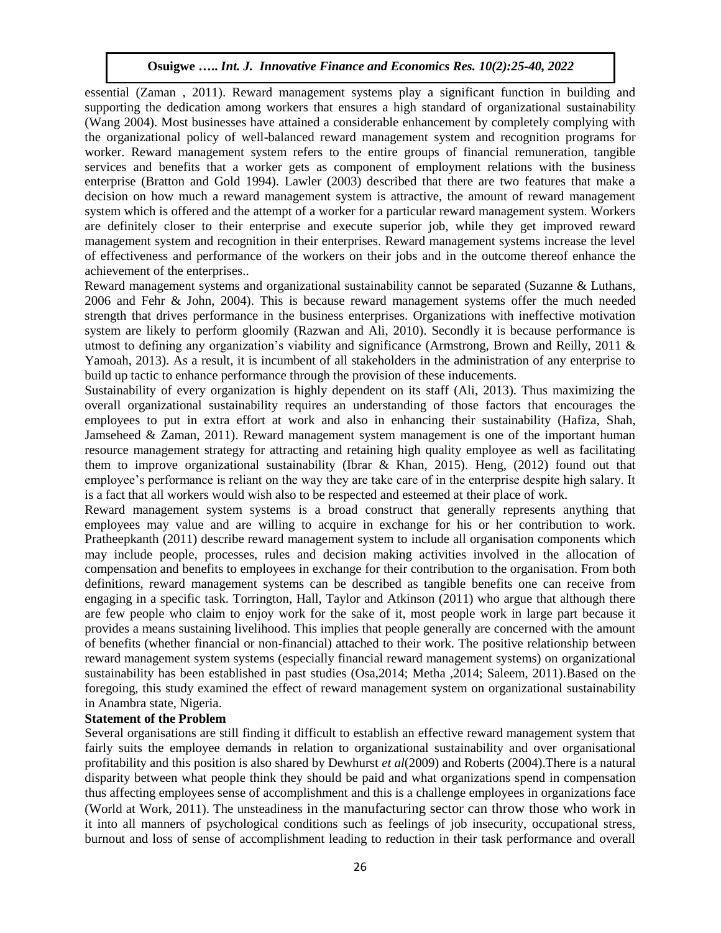essential (Zaman , 2011). Reward management systems play a significant function in building and supporting the dedication among workers that ensures a high standard of organizational sustainability (Wang 2004). Most businesses have attained a considerable enhancement by completely complying with the organizational policy of well-balanced reward management system and recognition programs for worker. Reward management system refers to the entire groups of financial remuneration, tangible services and benefits that a worker gets as component of employment relations with the business enterprise (Bratton and Gold 1994). Lawler (2003) described that there are two features that make a decision on how much a reward management system is attractive, the amount of reward management system which is offered and the attempt of a worker for a particular reward management system. Workers are definitely closer to their enterprise and execute superior job, while they get improved reward management system and recognition in their enterprises. Reward management systems increase the level of effectiveness and performance of the workers on their jobs and in the outcome thereof enhance the achievement of the enterprises..

Reward management systems and organizational sustainability cannot be separated (Suzanne & Luthans, 2006 and Fehr & John, 2004). This is because reward management systems offer the much needed strength that drives performance in the business enterprises. Organizations with ineffective motivation system are likely to perform gloomily (Razwan and Ali, 2010). Secondly it is because performance is utmost to defining any organization's viability and significance (Armstrong, Brown and Reilly, 2011 & Yamoah, 2013). As a result, it is incumbent of all stakeholders in the administration of any enterprise to build up tactic to enhance performance through the provision of these inducements.

Sustainability of every organization is highly dependent on its staff (Ali, 2013). Thus maximizing the overall organizational sustainability requires an understanding of those factors that encourages the employees to put in extra effort at work and also in enhancing their sustainability (Hafiza, Shah, Jamseheed & Zaman, 2011). Reward management system management is one of the important human resource management strategy for attracting and retaining high quality employee as well as facilitating them to improve organizational sustainability (Ibrar & Khan, 2015). Heng,  $(2012)$  found out that employee's performance is reliant on the way they are take care of in the enterprise despite high salary. It is a fact that all workers would wish also to be respected and esteemed at their place of work.

Reward management system systems is a broad construct that generally represents anything that employees may value and are willing to acquire in exchange for his or her contribution to work. Pratheepkanth (2011) describe reward management system to include all organisation components which may include people, processes, rules and decision making activities involved in the allocation of compensation and benefits to employees in exchange for their contribution to the organisation. From both definitions, reward management systems can be described as tangible benefits one can receive from engaging in a specific task. Torrington, Hall, Taylor and Atkinson (2011) who argue that although there are few people who claim to enjoy work for the sake of it, most people work in large part because it provides a means sustaining livelihood. This implies that people generally are concerned with the amount of benefits (whether financial or non-financial) attached to their work. The positive relationship between reward management system systems (especially financial reward management systems) on organizational sustainability has been established in past studies (Osa,2014; Metha ,2014; Saleem, 2011).Based on the foregoing, this study examined the effect of reward management system on organizational sustainability in Anambra state, Nigeria.

## **Statement of the Problem**

Several organisations are still finding it difficult to establish an effective reward management system that fairly suits the employee demands in relation to organizational sustainability and over organisational profitability and this position is also shared by Dewhurst *et al*(2009) and Roberts (2004).There is a natural disparity between what people think they should be paid and what organizations spend in compensation thus affecting employees sense of accomplishment and this is a challenge employees in organizations face (World at Work, 2011). The unsteadiness in the manufacturing sector can throw those who work in it into all manners of psychological conditions such as feelings of job insecurity, occupational stress, burnout and loss of sense of accomplishment leading to reduction in their task performance and overall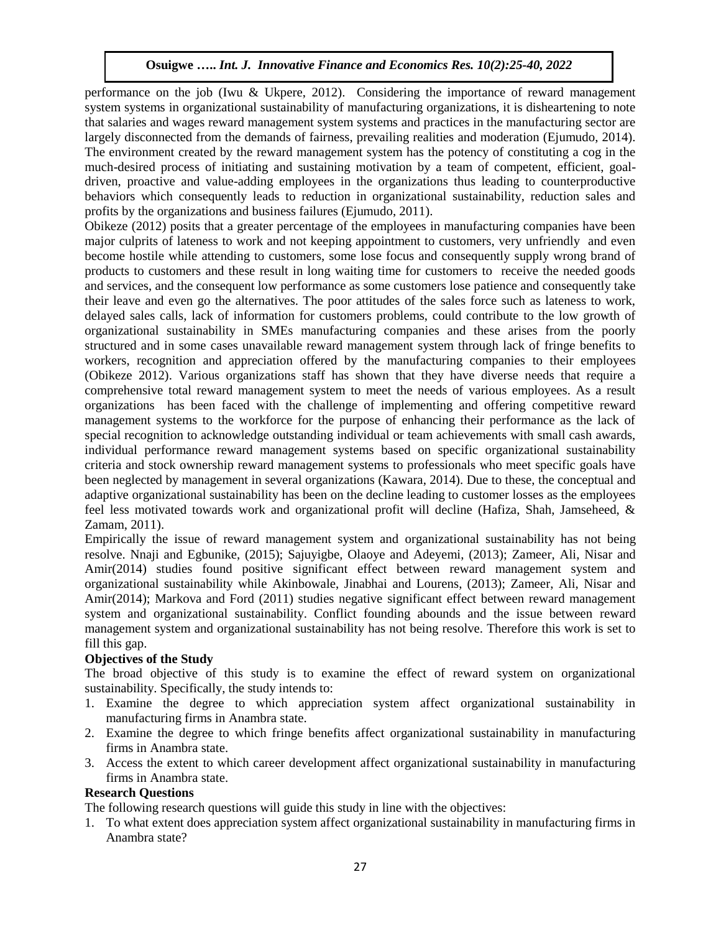performance on the job (Iwu & Ukpere, 2012). Considering the importance of reward management system systems in organizational sustainability of manufacturing organizations, it is disheartening to note that salaries and wages reward management system systems and practices in the manufacturing sector are largely disconnected from the demands of fairness, prevailing realities and moderation (Ejumudo, 2014). The environment created by the reward management system has the potency of constituting a cog in the much-desired process of initiating and sustaining motivation by a team of competent, efficient, goaldriven, proactive and value-adding employees in the organizations thus leading to counterproductive behaviors which consequently leads to reduction in organizational sustainability, reduction sales and profits by the organizations and business failures (Ejumudo, 2011).

Obikeze (2012) posits that a greater percentage of the employees in manufacturing companies have been major culprits of lateness to work and not keeping appointment to customers, very unfriendly and even become hostile while attending to customers, some lose focus and consequently supply wrong brand of products to customers and these result in long waiting time for customers to receive the needed goods and services, and the consequent low performance as some customers lose patience and consequently take their leave and even go the alternatives. The poor attitudes of the sales force such as lateness to work, delayed sales calls, lack of information for customers problems, could contribute to the low growth of organizational sustainability in SMEs manufacturing companies and these arises from the poorly structured and in some cases unavailable reward management system through lack of fringe benefits to workers, recognition and appreciation offered by the manufacturing companies to their employees (Obikeze 2012). Various organizations staff has shown that they have diverse needs that require a comprehensive total reward management system to meet the needs of various employees. As a result organizations has been faced with the challenge of implementing and offering competitive reward management systems to the workforce for the purpose of enhancing their performance as the lack of special recognition to acknowledge outstanding individual or team achievements with small cash awards, individual performance reward management systems based on specific organizational sustainability criteria and stock ownership reward management systems to professionals who meet specific goals have been neglected by management in several organizations (Kawara, 2014). Due to these, the conceptual and adaptive organizational sustainability has been on the decline leading to customer losses as the employees feel less motivated towards work and organizational profit will decline (Hafiza, Shah, Jamseheed, & Zamam, 2011).

Empirically the issue of reward management system and organizational sustainability has not being resolve. Nnaji and Egbunike, (2015); Sajuyigbe, Olaoye and Adeyemi, (2013); Zameer, Ali, Nisar and Amir(2014) studies found positive significant effect between reward management system and organizational sustainability while Akinbowale, Jinabhai and Lourens, (2013); Zameer, Ali, Nisar and Amir(2014); Markova and Ford (2011) studies negative significant effect between reward management system and organizational sustainability. Conflict founding abounds and the issue between reward management system and organizational sustainability has not being resolve. Therefore this work is set to fill this gap.

# **Objectives of the Study**

The broad objective of this study is to examine the effect of reward system on organizational sustainability. Specifically, the study intends to:

- 1. Examine the degree to which appreciation system affect organizational sustainability in manufacturing firms in Anambra state.
- 2. Examine the degree to which fringe benefits affect organizational sustainability in manufacturing firms in Anambra state.
- 3. Access the extent to which career development affect organizational sustainability in manufacturing firms in Anambra state.

# **Research Questions**

The following research questions will guide this study in line with the objectives:

1. To what extent does appreciation system affect organizational sustainability in manufacturing firms in Anambra state?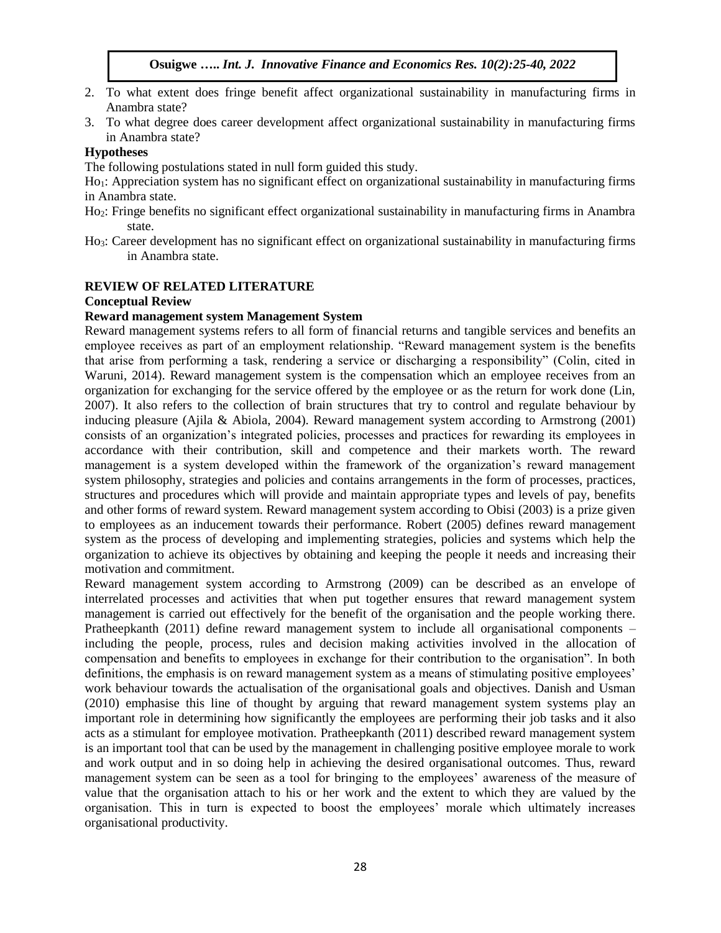- 2. To what extent does fringe benefit affect organizational sustainability in manufacturing firms in Anambra state?
- 3. To what degree does career development affect organizational sustainability in manufacturing firms in Anambra state?

## **Hypotheses**

The following postulations stated in null form guided this study.

Ho<sub>1</sub>: Appreciation system has no significant effect on organizational sustainability in manufacturing firms in Anambra state.

- Ho2: Fringe benefits no significant effect organizational sustainability in manufacturing firms in Anambra state.
- Ho3: Career development has no significant effect on organizational sustainability in manufacturing firms in Anambra state.

# **REVIEW OF RELATED LITERATURE**

## **Conceptual Review**

## **Reward management system Management System**

Reward management systems refers to all form of financial returns and tangible services and benefits an employee receives as part of an employment relationship. "Reward management system is the benefits that arise from performing a task, rendering a service or discharging a responsibility" (Colin, cited in Waruni, 2014). Reward management system is the compensation which an employee receives from an organization for exchanging for the service offered by the employee or as the return for work done (Lin, 2007). It also refers to the collection of brain structures that try to control and regulate behaviour by inducing pleasure (Ajila & Abiola, 2004). Reward management system according to Armstrong (2001) consists of an organization's integrated policies, processes and practices for rewarding its employees in accordance with their contribution, skill and competence and their markets worth. The reward management is a system developed within the framework of the organization's reward management system philosophy, strategies and policies and contains arrangements in the form of processes, practices, structures and procedures which will provide and maintain appropriate types and levels of pay, benefits and other forms of reward system. Reward management system according to Obisi (2003) is a prize given to employees as an inducement towards their performance. Robert (2005) defines reward management system as the process of developing and implementing strategies, policies and systems which help the organization to achieve its objectives by obtaining and keeping the people it needs and increasing their motivation and commitment.

Reward management system according to Armstrong (2009) can be described as an envelope of interrelated processes and activities that when put together ensures that reward management system management is carried out effectively for the benefit of the organisation and the people working there. Pratheepkanth (2011) define reward management system to include all organisational components – including the people, process, rules and decision making activities involved in the allocation of compensation and benefits to employees in exchange for their contribution to the organisation". In both definitions, the emphasis is on reward management system as a means of stimulating positive employees' work behaviour towards the actualisation of the organisational goals and objectives. Danish and Usman (2010) emphasise this line of thought by arguing that reward management system systems play an important role in determining how significantly the employees are performing their job tasks and it also acts as a stimulant for employee motivation. Pratheepkanth (2011) described reward management system is an important tool that can be used by the management in challenging positive employee morale to work and work output and in so doing help in achieving the desired organisational outcomes. Thus, reward management system can be seen as a tool for bringing to the employees' awareness of the measure of value that the organisation attach to his or her work and the extent to which they are valued by the organisation. This in turn is expected to boost the employees' morale which ultimately increases organisational productivity.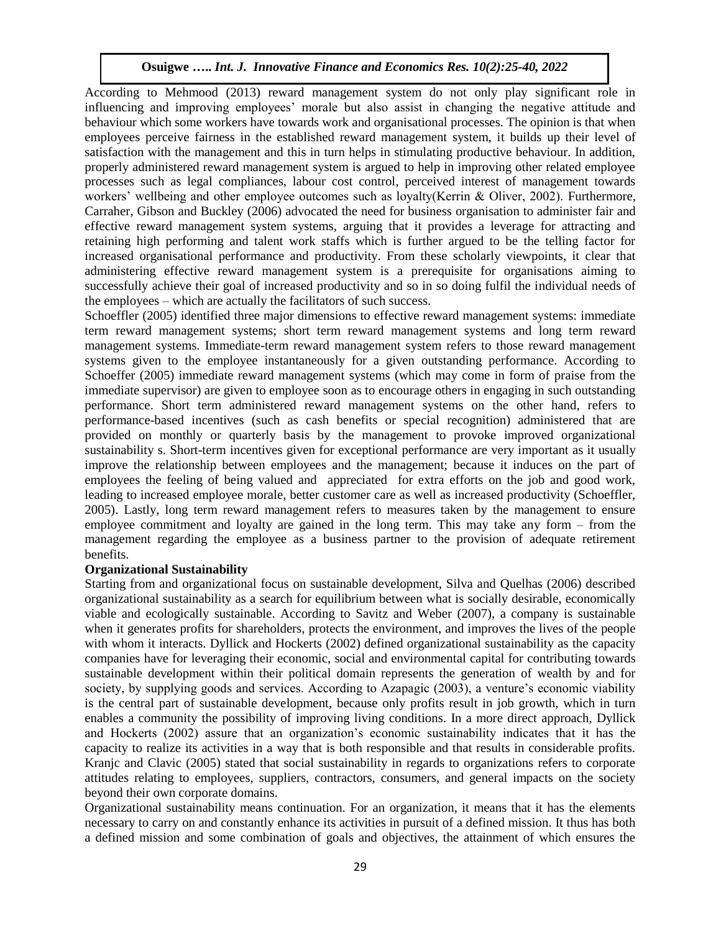According to Mehmood (2013) reward management system do not only play significant role in influencing and improving employees' morale but also assist in changing the negative attitude and behaviour which some workers have towards work and organisational processes. The opinion is that when employees perceive fairness in the established reward management system, it builds up their level of satisfaction with the management and this in turn helps in stimulating productive behaviour. In addition, properly administered reward management system is argued to help in improving other related employee processes such as legal compliances, labour cost control, perceived interest of management towards workers' wellbeing and other employee outcomes such as loyalty(Kerrin & Oliver, 2002). Furthermore, Carraher, Gibson and Buckley (2006) advocated the need for business organisation to administer fair and effective reward management system systems, arguing that it provides a leverage for attracting and retaining high performing and talent work staffs which is further argued to be the telling factor for increased organisational performance and productivity. From these scholarly viewpoints, it clear that administering effective reward management system is a prerequisite for organisations aiming to successfully achieve their goal of increased productivity and so in so doing fulfil the individual needs of the employees – which are actually the facilitators of such success.

Schoeffler (2005) identified three major dimensions to effective reward management systems: immediate term reward management systems; short term reward management systems and long term reward management systems. Immediate-term reward management system refers to those reward management systems given to the employee instantaneously for a given outstanding performance. According to Schoeffer (2005) immediate reward management systems (which may come in form of praise from the immediate supervisor) are given to employee soon as to encourage others in engaging in such outstanding performance. Short term administered reward management systems on the other hand, refers to performance-based incentives (such as cash benefits or special recognition) administered that are provided on monthly or quarterly basis by the management to provoke improved organizational sustainability s. Short-term incentives given for exceptional performance are very important as it usually improve the relationship between employees and the management; because it induces on the part of employees the feeling of being valued and appreciated for extra efforts on the job and good work, leading to increased employee morale, better customer care as well as increased productivity (Schoeffler, 2005). Lastly, long term reward management refers to measures taken by the management to ensure employee commitment and loyalty are gained in the long term. This may take any form – from the management regarding the employee as a business partner to the provision of adequate retirement benefits.

## **Organizational Sustainability**

Starting from and organizational focus on sustainable development, Silva and Quelhas (2006) described organizational sustainability as a search for equilibrium between what is socially desirable, economically viable and ecologically sustainable. According to Savitz and Weber (2007), a company is sustainable when it generates profits for shareholders, protects the environment, and improves the lives of the people with whom it interacts. Dyllick and Hockerts (2002) defined organizational sustainability as the capacity companies have for leveraging their economic, social and environmental capital for contributing towards sustainable development within their political domain represents the generation of wealth by and for society, by supplying goods and services. According to Azapagic (2003), a venture's economic viability is the central part of sustainable development, because only profits result in job growth, which in turn enables a community the possibility of improving living conditions. In a more direct approach, Dyllick and Hockerts (2002) assure that an organization's economic sustainability indicates that it has the capacity to realize its activities in a way that is both responsible and that results in considerable profits. Kranjc and Clavic (2005) stated that social sustainability in regards to organizations refers to corporate attitudes relating to employees, suppliers, contractors, consumers, and general impacts on the society beyond their own corporate domains.

Organizational sustainability means continuation. For an organization, it means that it has the elements necessary to carry on and constantly enhance its activities in pursuit of a defined mission. It thus has both a defined mission and some combination of goals and objectives, the attainment of which ensures the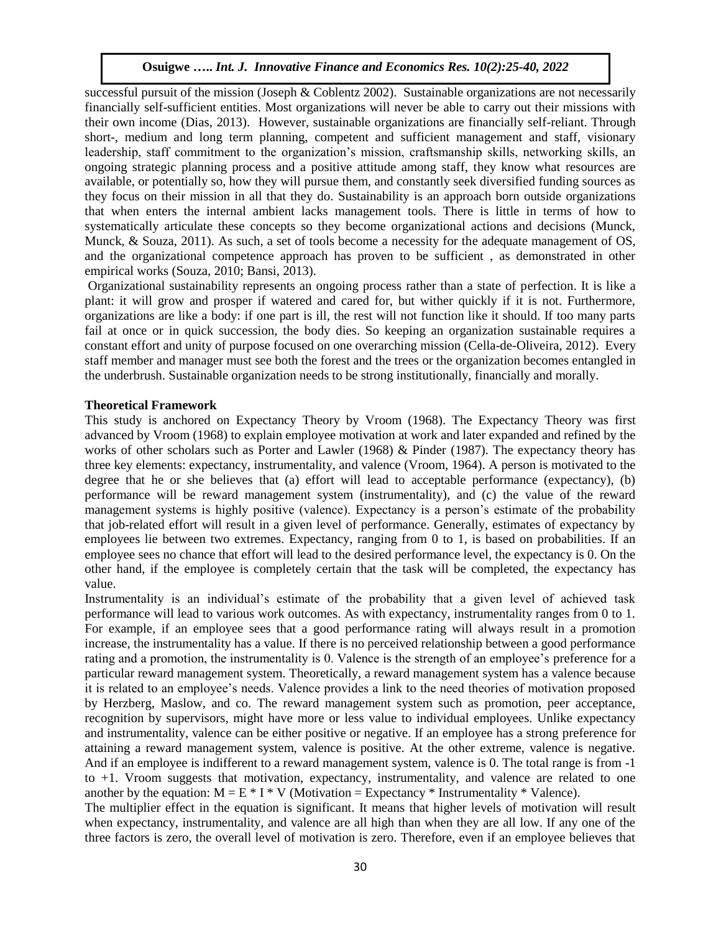successful pursuit of the mission (Joseph & Coblentz 2002). Sustainable organizations are not necessarily financially self-sufficient entities. Most organizations will never be able to carry out their missions with their own income (Dias, 2013). However, sustainable organizations are financially self-reliant. Through short-, medium and long term planning, competent and sufficient management and staff, visionary leadership, staff commitment to the organization's mission, craftsmanship skills, networking skills, an ongoing strategic planning process and a positive attitude among staff, they know what resources are available, or potentially so, how they will pursue them, and constantly seek diversified funding sources as they focus on their mission in all that they do. Sustainability is an approach born outside organizations that when enters the internal ambient lacks management tools. There is little in terms of how to systematically articulate these concepts so they become organizational actions and decisions (Munck, Munck, & Souza, 2011). As such, a set of tools become a necessity for the adequate management of OS, and the organizational competence approach has proven to be sufficient , as demonstrated in other empirical works (Souza, 2010; Bansi, 2013).

Organizational sustainability represents an ongoing process rather than a state of perfection. It is like a plant: it will grow and prosper if watered and cared for, but wither quickly if it is not. Furthermore, organizations are like a body: if one part is ill, the rest will not function like it should. If too many parts fail at once or in quick succession, the body dies. So keeping an organization sustainable requires a constant effort and unity of purpose focused on one overarching mission (Cella-de-Oliveira, 2012). Every staff member and manager must see both the forest and the trees or the organization becomes entangled in the underbrush. Sustainable organization needs to be strong institutionally, financially and morally.

#### **Theoretical Framework**

This study is anchored on Expectancy Theory by Vroom (1968). The Expectancy Theory was first advanced by Vroom (1968) to explain employee motivation at work and later expanded and refined by the works of other scholars such as Porter and Lawler (1968) & Pinder (1987). The expectancy theory has three key elements: expectancy, instrumentality, and valence (Vroom, 1964). A person is motivated to the degree that he or she believes that (a) effort will lead to acceptable performance (expectancy), (b) performance will be reward management system (instrumentality), and (c) the value of the reward management systems is highly positive (valence). Expectancy is a person's estimate of the probability that job-related effort will result in a given level of performance. Generally, estimates of expectancy by employees lie between two extremes. Expectancy, ranging from 0 to 1, is based on probabilities. If an employee sees no chance that effort will lead to the desired performance level, the expectancy is 0. On the other hand, if the employee is completely certain that the task will be completed, the expectancy has value.

Instrumentality is an individual's estimate of the probability that a given level of achieved task performance will lead to various work outcomes. As with expectancy, instrumentality ranges from 0 to 1. For example, if an employee sees that a good performance rating will always result in a promotion increase, the instrumentality has a value. If there is no perceived relationship between a good performance rating and a promotion, the instrumentality is 0. Valence is the strength of an employee's preference for a particular reward management system. Theoretically, a reward management system has a valence because it is related to an employee's needs. Valence provides a link to the need theories of motivation proposed by Herzberg, Maslow, and co. The reward management system such as promotion, peer acceptance, recognition by supervisors, might have more or less value to individual employees. Unlike expectancy and instrumentality, valence can be either positive or negative. If an employee has a strong preference for attaining a reward management system, valence is positive. At the other extreme, valence is negative. And if an employee is indifferent to a reward management system, valence is 0. The total range is from -1 to +1. Vroom suggests that motivation, expectancy, instrumentality, and valence are related to one another by the equation:  $M = E * I * V$  (Motivation = Expectancy \* Instrumentality \* Valence).

The multiplier effect in the equation is significant. It means that higher levels of motivation will result when expectancy, instrumentality, and valence are all high than when they are all low. If any one of the three factors is zero, the overall level of motivation is zero. Therefore, even if an employee believes that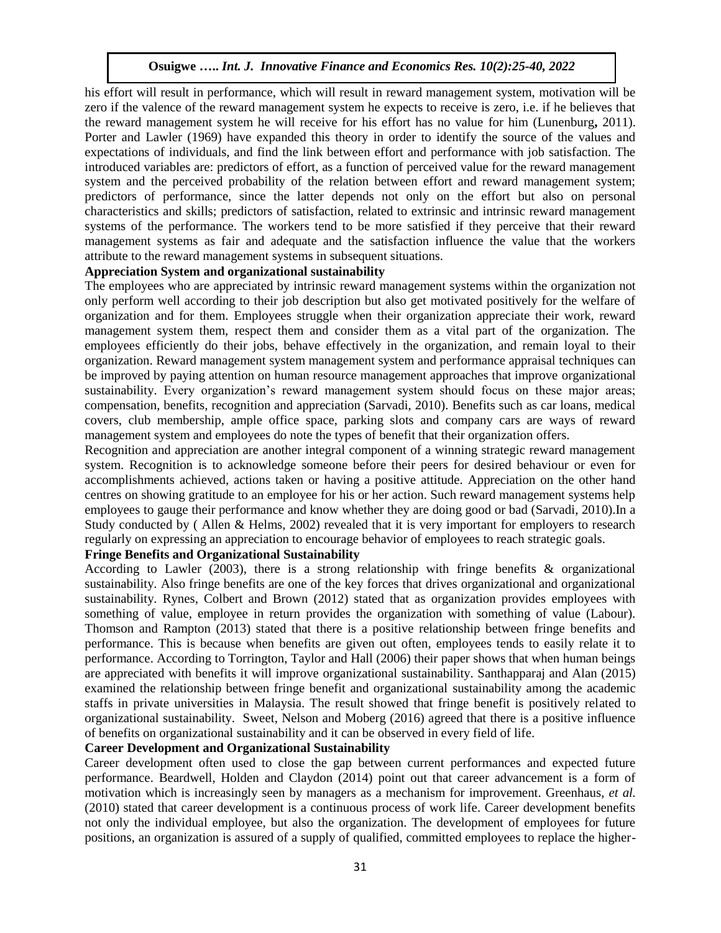his effort will result in performance, which will result in reward management system, motivation will be zero if the valence of the reward management system he expects to receive is zero, i.e. if he believes that the reward management system he will receive for his effort has no value for him (Lunenburg**,** 2011). Porter and Lawler (1969) have expanded this theory in order to identify the source of the values and expectations of individuals, and find the link between effort and performance with job satisfaction. The introduced variables are: predictors of effort, as a function of perceived value for the reward management system and the perceived probability of the relation between effort and reward management system; predictors of performance, since the latter depends not only on the effort but also on personal characteristics and skills; predictors of satisfaction, related to extrinsic and intrinsic reward management systems of the performance. The workers tend to be more satisfied if they perceive that their reward management systems as fair and adequate and the satisfaction influence the value that the workers attribute to the reward management systems in subsequent situations.

## **Appreciation System and organizational sustainability**

The employees who are appreciated by intrinsic reward management systems within the organization not only perform well according to their job description but also get motivated positively for the welfare of organization and for them. Employees struggle when their organization appreciate their work, reward management system them, respect them and consider them as a vital part of the organization. The employees efficiently do their jobs, behave effectively in the organization, and remain loyal to their organization. Reward management system management system and performance appraisal techniques can be improved by paying attention on human resource management approaches that improve organizational sustainability. Every organization's reward management system should focus on these major areas; compensation, benefits, recognition and appreciation (Sarvadi, 2010). Benefits such as car loans, medical covers, club membership, ample office space, parking slots and company cars are ways of reward management system and employees do note the types of benefit that their organization offers.

Recognition and appreciation are another integral component of a winning strategic reward management system. Recognition is to acknowledge someone before their peers for desired behaviour or even for accomplishments achieved, actions taken or having a positive attitude. Appreciation on the other hand centres on showing gratitude to an employee for his or her action. Such reward management systems help employees to gauge their performance and know whether they are doing good or bad (Sarvadi, 2010).In a Study conducted by ( Allen & Helms, 2002) revealed that it is very important for employers to research regularly on expressing an appreciation to encourage behavior of employees to reach strategic goals.

# **Fringe Benefits and Organizational Sustainability**

According to Lawler (2003), there is a strong relationship with fringe benefits & organizational sustainability. Also fringe benefits are one of the key forces that drives organizational and organizational sustainability. Rynes, Colbert and Brown (2012) stated that as organization provides employees with something of value, employee in return provides the organization with something of value (Labour). Thomson and Rampton (2013) stated that there is a positive relationship between fringe benefits and performance. This is because when benefits are given out often, employees tends to easily relate it to performance. According to Torrington, Taylor and Hall (2006) their paper shows that when human beings are appreciated with benefits it will improve organizational sustainability. Santhapparaj and Alan (2015) examined the relationship between fringe benefit and organizational sustainability among the academic staffs in private universities in Malaysia. The result showed that fringe benefit is positively related to organizational sustainability. Sweet, Nelson and Moberg (2016) agreed that there is a positive influence of benefits on organizational sustainability and it can be observed in every field of life.

## **Career Development and Organizational Sustainability**

Career development often used to close the gap between current performances and expected future performance. Beardwell, Holden and Claydon (2014) point out that career advancement is a form of motivation which is increasingly seen by managers as a mechanism for improvement. Greenhaus, *et al.*  (2010) stated that career development is a continuous process of work life. Career development benefits not only the individual employee, but also the organization. The development of employees for future positions, an organization is assured of a supply of qualified, committed employees to replace the higher-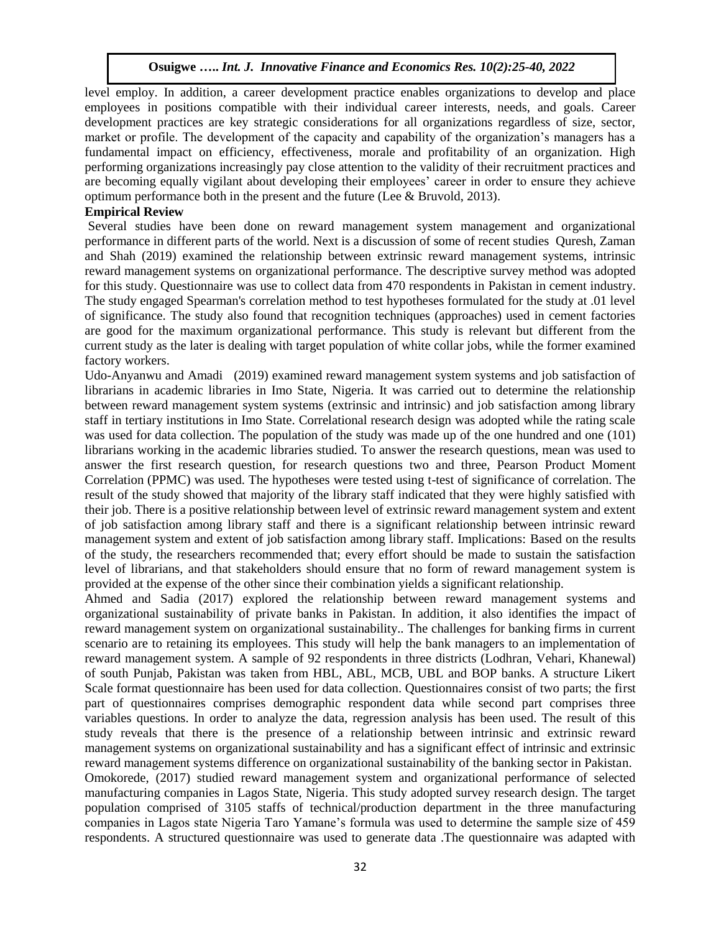level employ. In addition, a career development practice enables organizations to develop and place employees in positions compatible with their individual career interests, needs, and goals. Career development practices are key strategic considerations for all organizations regardless of size, sector, market or profile. The development of the capacity and capability of the organization's managers has a fundamental impact on efficiency, effectiveness, morale and profitability of an organization. High performing organizations increasingly pay close attention to the validity of their recruitment practices and are becoming equally vigilant about developing their employees' career in order to ensure they achieve optimum performance both in the present and the future (Lee  $&$  Bruvold, 2013).

## **Empirical Review**

Several studies have been done on reward management system management and organizational performance in different parts of the world. Next is a discussion of some of recent studies Quresh, Zaman and Shah (2019) examined the relationship between extrinsic reward management systems, intrinsic reward management systems on organizational performance. The descriptive survey method was adopted for this study. Questionnaire was use to collect data from 470 respondents in Pakistan in cement industry. The study engaged Spearman's correlation method to test hypotheses formulated for the study at .01 level of significance. The study also found that recognition techniques (approaches) used in cement factories are good for the maximum organizational performance. This study is relevant but different from the current study as the later is dealing with target population of white collar jobs, while the former examined factory workers.

Udo-Anyanwu and Amadi (2019) examined reward management system systems and job satisfaction of librarians in academic libraries in Imo State, Nigeria. It was carried out to determine the relationship between reward management system systems (extrinsic and intrinsic) and job satisfaction among library staff in tertiary institutions in Imo State. Correlational research design was adopted while the rating scale was used for data collection. The population of the study was made up of the one hundred and one (101) librarians working in the academic libraries studied. To answer the research questions, mean was used to answer the first research question, for research questions two and three, Pearson Product Moment Correlation (PPMC) was used. The hypotheses were tested using t-test of significance of correlation. The result of the study showed that majority of the library staff indicated that they were highly satisfied with their job. There is a positive relationship between level of extrinsic reward management system and extent of job satisfaction among library staff and there is a significant relationship between intrinsic reward management system and extent of job satisfaction among library staff. Implications: Based on the results of the study, the researchers recommended that; every effort should be made to sustain the satisfaction level of librarians, and that stakeholders should ensure that no form of reward management system is provided at the expense of the other since their combination yields a significant relationship.

Ahmed and Sadia (2017) explored the relationship between reward management systems and organizational sustainability of private banks in Pakistan. In addition, it also identifies the impact of reward management system on organizational sustainability.. The challenges for banking firms in current scenario are to retaining its employees. This study will help the bank managers to an implementation of reward management system. A sample of 92 respondents in three districts (Lodhran, Vehari, Khanewal) of south Punjab, Pakistan was taken from HBL, ABL, MCB, UBL and BOP banks. A structure Likert Scale format questionnaire has been used for data collection. Questionnaires consist of two parts; the first part of questionnaires comprises demographic respondent data while second part comprises three variables questions. In order to analyze the data, regression analysis has been used. The result of this study reveals that there is the presence of a relationship between intrinsic and extrinsic reward management systems on organizational sustainability and has a significant effect of intrinsic and extrinsic reward management systems difference on organizational sustainability of the banking sector in Pakistan. Omokorede, (2017) studied reward management system and organizational performance of selected manufacturing companies in Lagos State, Nigeria. This study adopted survey research design. The target population comprised of 3105 staffs of technical/production department in the three manufacturing companies in Lagos state Nigeria Taro Yamane's formula was used to determine the sample size of 459 respondents. A structured questionnaire was used to generate data .The questionnaire was adapted with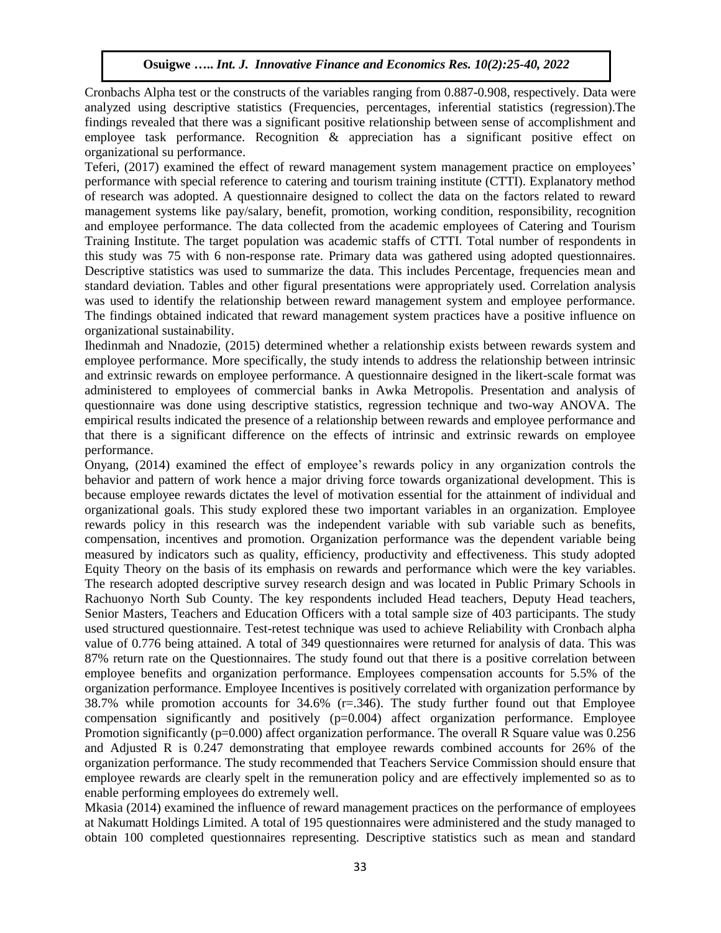Cronbachs Alpha test or the constructs of the variables ranging from 0.887-0.908, respectively. Data were analyzed using descriptive statistics (Frequencies, percentages, inferential statistics (regression).The findings revealed that there was a significant positive relationship between sense of accomplishment and employee task performance. Recognition & appreciation has a significant positive effect on organizational su performance.

Teferi, (2017) examined the effect of reward management system management practice on employees' performance with special reference to catering and tourism training institute (CTTI). Explanatory method of research was adopted. A questionnaire designed to collect the data on the factors related to reward management systems like pay/salary, benefit, promotion, working condition, responsibility, recognition and employee performance. The data collected from the academic employees of Catering and Tourism Training Institute. The target population was academic staffs of CTTI. Total number of respondents in this study was 75 with 6 non-response rate. Primary data was gathered using adopted questionnaires. Descriptive statistics was used to summarize the data. This includes Percentage, frequencies mean and standard deviation. Tables and other figural presentations were appropriately used. Correlation analysis was used to identify the relationship between reward management system and employee performance. The findings obtained indicated that reward management system practices have a positive influence on organizational sustainability.

Ihedinmah and Nnadozie, (2015) determined whether a relationship exists between rewards system and employee performance. More specifically, the study intends to address the relationship between intrinsic and extrinsic rewards on employee performance. A questionnaire designed in the likert-scale format was administered to employees of commercial banks in Awka Metropolis. Presentation and analysis of questionnaire was done using descriptive statistics, regression technique and two-way ANOVA. The empirical results indicated the presence of a relationship between rewards and employee performance and that there is a significant difference on the effects of intrinsic and extrinsic rewards on employee performance.

Onyang, (2014) examined the effect of employee's rewards policy in any organization controls the behavior and pattern of work hence a major driving force towards organizational development. This is because employee rewards dictates the level of motivation essential for the attainment of individual and organizational goals. This study explored these two important variables in an organization. Employee rewards policy in this research was the independent variable with sub variable such as benefits, compensation, incentives and promotion. Organization performance was the dependent variable being measured by indicators such as quality, efficiency, productivity and effectiveness. This study adopted Equity Theory on the basis of its emphasis on rewards and performance which were the key variables. The research adopted descriptive survey research design and was located in Public Primary Schools in Rachuonyo North Sub County. The key respondents included Head teachers, Deputy Head teachers, Senior Masters, Teachers and Education Officers with a total sample size of 403 participants. The study used structured questionnaire. Test-retest technique was used to achieve Reliability with Cronbach alpha value of 0.776 being attained. A total of 349 questionnaires were returned for analysis of data. This was 87% return rate on the Questionnaires. The study found out that there is a positive correlation between employee benefits and organization performance. Employees compensation accounts for 5.5% of the organization performance. Employee Incentives is positively correlated with organization performance by 38.7% while promotion accounts for 34.6% (r=.346). The study further found out that Employee compensation significantly and positively (p=0.004) affect organization performance. Employee Promotion significantly (p=0.000) affect organization performance. The overall R Square value was 0.256 and Adjusted R is 0.247 demonstrating that employee rewards combined accounts for 26% of the organization performance. The study recommended that Teachers Service Commission should ensure that employee rewards are clearly spelt in the remuneration policy and are effectively implemented so as to enable performing employees do extremely well.

Mkasia (2014) examined the influence of reward management practices on the performance of employees at Nakumatt Holdings Limited. A total of 195 questionnaires were administered and the study managed to obtain 100 completed questionnaires representing. Descriptive statistics such as mean and standard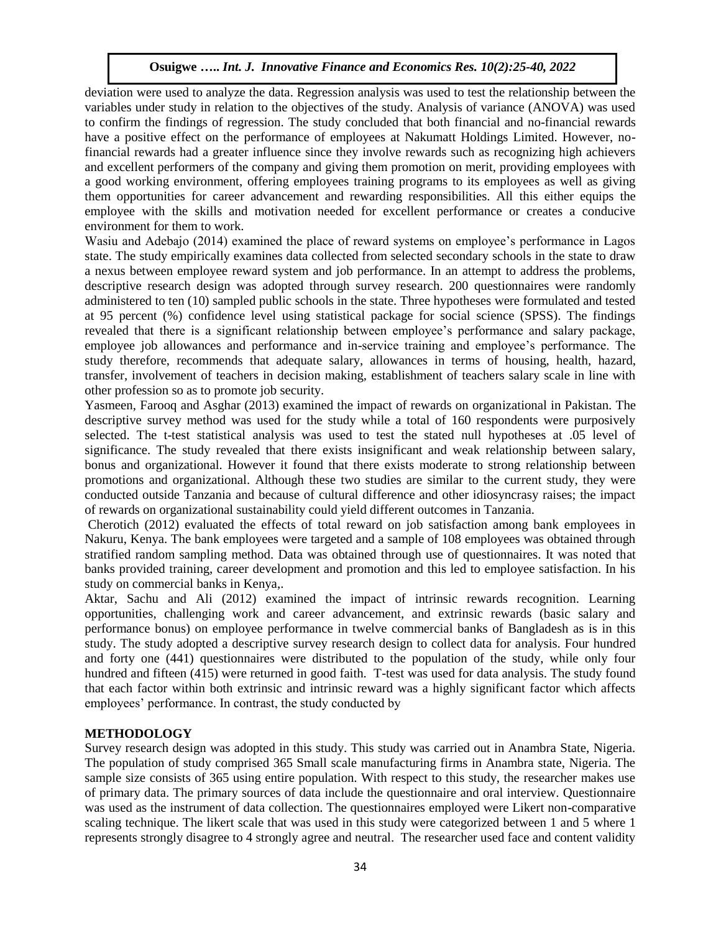deviation were used to analyze the data. Regression analysis was used to test the relationship between the variables under study in relation to the objectives of the study. Analysis of variance (ANOVA) was used to confirm the findings of regression. The study concluded that both financial and no-financial rewards have a positive effect on the performance of employees at Nakumatt Holdings Limited. However, nofinancial rewards had a greater influence since they involve rewards such as recognizing high achievers and excellent performers of the company and giving them promotion on merit, providing employees with a good working environment, offering employees training programs to its employees as well as giving them opportunities for career advancement and rewarding responsibilities. All this either equips the employee with the skills and motivation needed for excellent performance or creates a conducive environment for them to work.

Wasiu and Adebajo (2014) examined the place of reward systems on employee's performance in Lagos state. The study empirically examines data collected from selected secondary schools in the state to draw a nexus between employee reward system and job performance. In an attempt to address the problems, descriptive research design was adopted through survey research. 200 questionnaires were randomly administered to ten (10) sampled public schools in the state. Three hypotheses were formulated and tested at 95 percent (%) confidence level using statistical package for social science (SPSS). The findings revealed that there is a significant relationship between employee's performance and salary package, employee job allowances and performance and in-service training and employee's performance. The study therefore, recommends that adequate salary, allowances in terms of housing, health, hazard, transfer, involvement of teachers in decision making, establishment of teachers salary scale in line with other profession so as to promote job security.

Yasmeen, Farooq and Asghar (2013) examined the impact of rewards on organizational in Pakistan. The descriptive survey method was used for the study while a total of 160 respondents were purposively selected. The t-test statistical analysis was used to test the stated null hypotheses at .05 level of significance. The study revealed that there exists insignificant and weak relationship between salary, bonus and organizational. However it found that there exists moderate to strong relationship between promotions and organizational. Although these two studies are similar to the current study, they were conducted outside Tanzania and because of cultural difference and other idiosyncrasy raises; the impact of rewards on organizational sustainability could yield different outcomes in Tanzania.

Cherotich (2012) evaluated the effects of total reward on job satisfaction among bank employees in Nakuru, Kenya. The bank employees were targeted and a sample of 108 employees was obtained through stratified random sampling method. Data was obtained through use of questionnaires. It was noted that banks provided training, career development and promotion and this led to employee satisfaction. In his study on commercial banks in Kenya,.

Aktar, Sachu and Ali (2012) examined the impact of intrinsic rewards recognition. Learning opportunities, challenging work and career advancement, and extrinsic rewards (basic salary and performance bonus) on employee performance in twelve commercial banks of Bangladesh as is in this study. The study adopted a descriptive survey research design to collect data for analysis. Four hundred and forty one (441) questionnaires were distributed to the population of the study, while only four hundred and fifteen (415) were returned in good faith. T-test was used for data analysis. The study found that each factor within both extrinsic and intrinsic reward was a highly significant factor which affects employees' performance. In contrast, the study conducted by

# **METHODOLOGY**

Survey research design was adopted in this study. This study was carried out in Anambra State, Nigeria. The population of study comprised 365 Small scale manufacturing firms in Anambra state, Nigeria. The sample size consists of 365 using entire population. With respect to this study, the researcher makes use of primary data. The primary sources of data include the questionnaire and oral interview. Questionnaire was used as the instrument of data collection. The questionnaires employed were Likert non-comparative scaling technique. The likert scale that was used in this study were categorized between 1 and 5 where 1 represents strongly disagree to 4 strongly agree and neutral. The researcher used face and content validity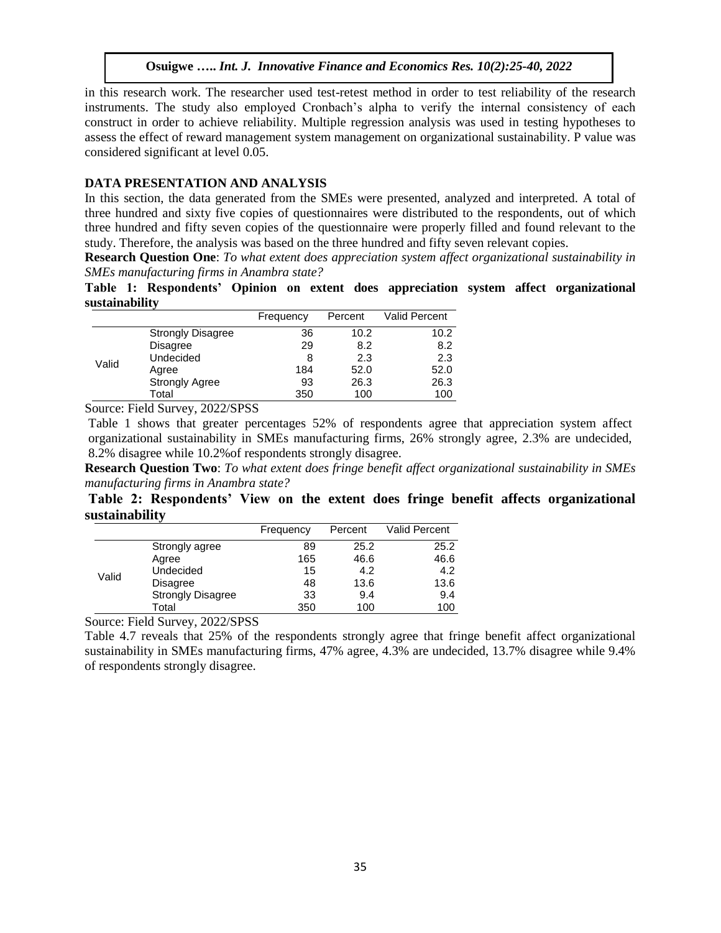in this research work. The researcher used test-retest method in order to test reliability of the research instruments. The study also employed Cronbach's alpha to verify the internal consistency of each construct in order to achieve reliability. Multiple regression analysis was used in testing hypotheses to assess the effect of reward management system management on organizational sustainability. P value was considered significant at level 0.05.

## **DATA PRESENTATION AND ANALYSIS**

In this section, the data generated from the SMEs were presented, analyzed and interpreted. A total of three hundred and sixty five copies of questionnaires were distributed to the respondents, out of which three hundred and fifty seven copies of the questionnaire were properly filled and found relevant to the study. Therefore, the analysis was based on the three hundred and fifty seven relevant copies.

**Research Question One**: *To what extent does appreciation system affect organizational sustainability in SMEs manufacturing firms in Anambra state?*

**Table 1: Respondents' Opinion on extent does appreciation system affect organizational sustainability** 

|       |                          | Frequency | Percent | Valid Percent |
|-------|--------------------------|-----------|---------|---------------|
|       | <b>Strongly Disagree</b> | 36        | 10.2    | 10.2          |
|       | Disagree                 | 29        | 8.2     | 8.2           |
| Valid | Undecided                | 8         | 2.3     | 2.3           |
|       | Agree                    | 184       | 52.0    | 52.0          |
|       | <b>Strongly Agree</b>    | 93        | 26.3    | 26.3          |
|       | Total                    | 350       | 100     | 100           |

Source: Field Survey, 2022/SPSS

Table 1 shows that greater percentages 52% of respondents agree that appreciation system affect organizational sustainability in SMEs manufacturing firms, 26% strongly agree, 2.3% are undecided, 8.2% disagree while 10.2%of respondents strongly disagree.

**Research Question Two**: *To what extent does fringe benefit affect organizational sustainability in SMEs manufacturing firms in Anambra state?*

**Table 2: Respondents' View on the extent does fringe benefit affects organizational sustainability** 

|       |                          | Frequency | Percent | Valid Percent |
|-------|--------------------------|-----------|---------|---------------|
|       | Strongly agree           | 89        | 25.2    | 25.2          |
|       | Agree                    | 165       | 46.6    | 46.6          |
| Valid | Undecided                | 15        | 4.2     | 4.2           |
|       | <b>Disagree</b>          | 48        | 13.6    | 13.6          |
|       | <b>Strongly Disagree</b> | 33        | 9.4     | 9.4           |
|       | Total                    | 350       | 100     | 100           |

Source: Field Survey, 2022/SPSS

Table 4.7 reveals that 25% of the respondents strongly agree that fringe benefit affect organizational sustainability in SMEs manufacturing firms, 47% agree, 4.3% are undecided, 13.7% disagree while 9.4% of respondents strongly disagree.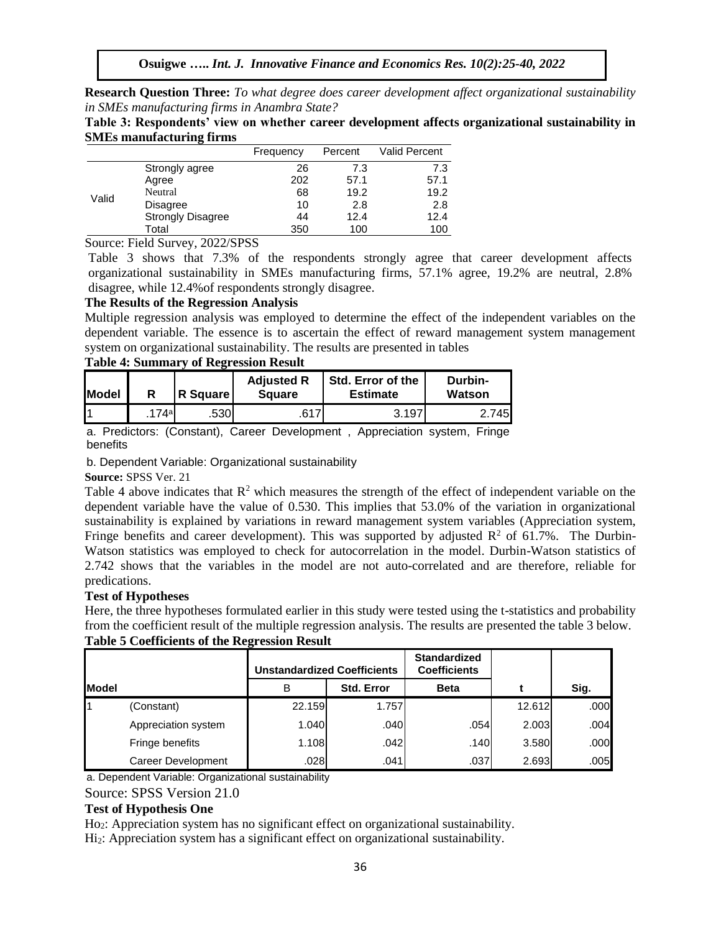**Research Question Three:** *To what degree does career development affect organizational sustainability in SMEs manufacturing firms in Anambra State?*

**Table 3: Respondents' view on whether career development affects organizational sustainability in SMEs manufacturing firms** 

|       |                          | Frequency | Percent | Valid Percent |
|-------|--------------------------|-----------|---------|---------------|
| Valid | Strongly agree           | 26        | 7.3     | 7.3           |
|       | Agree                    | 202       | 57.1    | 57.1          |
|       | Neutral                  | 68        | 19.2    | 19.2          |
|       | Disagree                 | 10        | 2.8     | 2.8           |
|       | <b>Strongly Disagree</b> | 44        | 12.4    | 12.4          |
|       | Total                    | 350       | 100     | 100           |

Source: Field Survey, 2022/SPSS

Table 3 shows that 7.3% of the respondents strongly agree that career development affects organizational sustainability in SMEs manufacturing firms, 57.1% agree, 19.2% are neutral, 2.8% disagree, while 12.4%of respondents strongly disagree.

## **The Results of the Regression Analysis**

Multiple regression analysis was employed to determine the effect of the independent variables on the dependent variable. The essence is to ascertain the effect of reward management system management system on organizational sustainability. The results are presented in tables

## **Table 4: Summary of Regression Result**

| <b>Model</b> |     | <b>R</b> Square I | <b>Adjusted R</b><br><b>Square</b> | Std. Error of the<br><b>Estimate</b> | Durbin-<br>Watson |
|--------------|-----|-------------------|------------------------------------|--------------------------------------|-------------------|
|              | 74a | .530              | C 4 7                              | 3.197                                | 745               |

a. Predictors: (Constant), Career Development , Appreciation system, Fringe benefits

b. Dependent Variable: Organizational sustainability

**Source:** SPSS Ver. 21

Table 4 above indicates that  $\mathbb{R}^2$  which measures the strength of the effect of independent variable on the dependent variable have the value of 0.530. This implies that 53.0% of the variation in organizational sustainability is explained by variations in reward management system variables (Appreciation system, Fringe benefits and career development). This was supported by adjusted  $\mathbb{R}^2$  of 61.7%. The Durbin-Watson statistics was employed to check for autocorrelation in the model. Durbin-Watson statistics of 2.742 shows that the variables in the model are not auto-correlated and are therefore, reliable for predications.

# **Test of Hypotheses**

Here, the three hypotheses formulated earlier in this study were tested using the t-statistics and probability from the coefficient result of the multiple regression analysis. The results are presented the table 3 below. **Table 5 Coefficients of the Regression Result**

|                |                           | Unstandardized Coefficients |                   | <b>Standardized</b><br><b>Coefficients</b> |        |      |
|----------------|---------------------------|-----------------------------|-------------------|--------------------------------------------|--------|------|
| <b>I</b> Model |                           | B                           | <b>Std. Error</b> | <b>Beta</b>                                |        | Sig. |
|                | (Constant)                | 22.159                      | 1.757             |                                            | 12.612 | .000 |
|                | Appreciation system       | 1.040                       | .040              | .054                                       | 2.003  | .004 |
|                | Fringe benefits           | 1.108                       | .042              | .140                                       | 3.580  | .000 |
|                | <b>Career Development</b> | .028                        | .041              | .037                                       | 2.693  | .005 |

a. Dependent Variable: Organizational sustainability

# Source: SPSS Version 21.0

# **Test of Hypothesis One**

Ho2: Appreciation system has no significant effect on organizational sustainability.

Hi2: Appreciation system has a significant effect on organizational sustainability.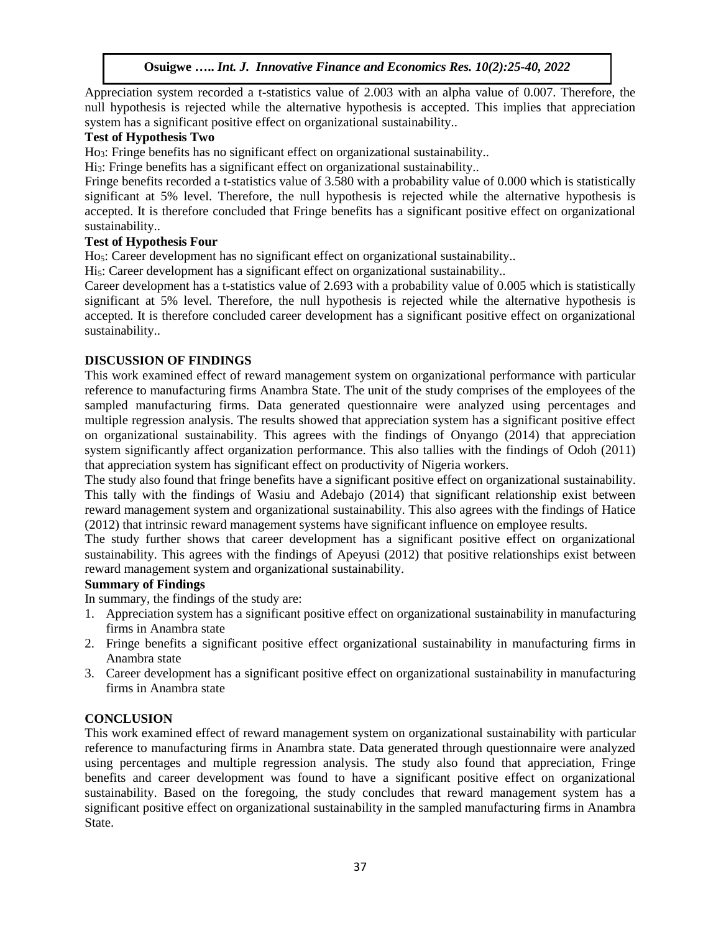Appreciation system recorded a t-statistics value of 2.003 with an alpha value of 0.007. Therefore, the null hypothesis is rejected while the alternative hypothesis is accepted. This implies that appreciation system has a significant positive effect on organizational sustainability..

# **Test of Hypothesis Two**

Ho3: Fringe benefits has no significant effect on organizational sustainability..

Hi3: Fringe benefits has a significant effect on organizational sustainability..

Fringe benefits recorded a t-statistics value of 3.580 with a probability value of 0.000 which is statistically significant at 5% level. Therefore, the null hypothesis is rejected while the alternative hypothesis is accepted. It is therefore concluded that Fringe benefits has a significant positive effect on organizational sustainability..

# **Test of Hypothesis Four**

Ho5: Career development has no significant effect on organizational sustainability..

Hi<sub>5</sub>: Career development has a significant effect on organizational sustainability..

Career development has a t-statistics value of 2.693 with a probability value of 0.005 which is statistically significant at 5% level. Therefore, the null hypothesis is rejected while the alternative hypothesis is accepted. It is therefore concluded career development has a significant positive effect on organizational sustainability..

# **DISCUSSION OF FINDINGS**

This work examined effect of reward management system on organizational performance with particular reference to manufacturing firms Anambra State. The unit of the study comprises of the employees of the sampled manufacturing firms. Data generated questionnaire were analyzed using percentages and multiple regression analysis. The results showed that appreciation system has a significant positive effect on organizational sustainability. This agrees with the findings of Onyango (2014) that appreciation system significantly affect organization performance. This also tallies with the findings of Odoh (2011) that appreciation system has significant effect on productivity of Nigeria workers.

The study also found that fringe benefits have a significant positive effect on organizational sustainability. This tally with the findings of Wasiu and Adebajo (2014) that significant relationship exist between reward management system and organizational sustainability. This also agrees with the findings of Hatice (2012) that intrinsic reward management systems have significant influence on employee results.

The study further shows that career development has a significant positive effect on organizational sustainability. This agrees with the findings of Apeyusi (2012) that positive relationships exist between reward management system and organizational sustainability.

# **Summary of Findings**

In summary, the findings of the study are:

- 1. Appreciation system has a significant positive effect on organizational sustainability in manufacturing firms in Anambra state
- 2. Fringe benefits a significant positive effect organizational sustainability in manufacturing firms in Anambra state
- 3. Career development has a significant positive effect on organizational sustainability in manufacturing firms in Anambra state

# **CONCLUSION**

This work examined effect of reward management system on organizational sustainability with particular reference to manufacturing firms in Anambra state. Data generated through questionnaire were analyzed using percentages and multiple regression analysis. The study also found that appreciation, Fringe benefits and career development was found to have a significant positive effect on organizational sustainability. Based on the foregoing, the study concludes that reward management system has a significant positive effect on organizational sustainability in the sampled manufacturing firms in Anambra State.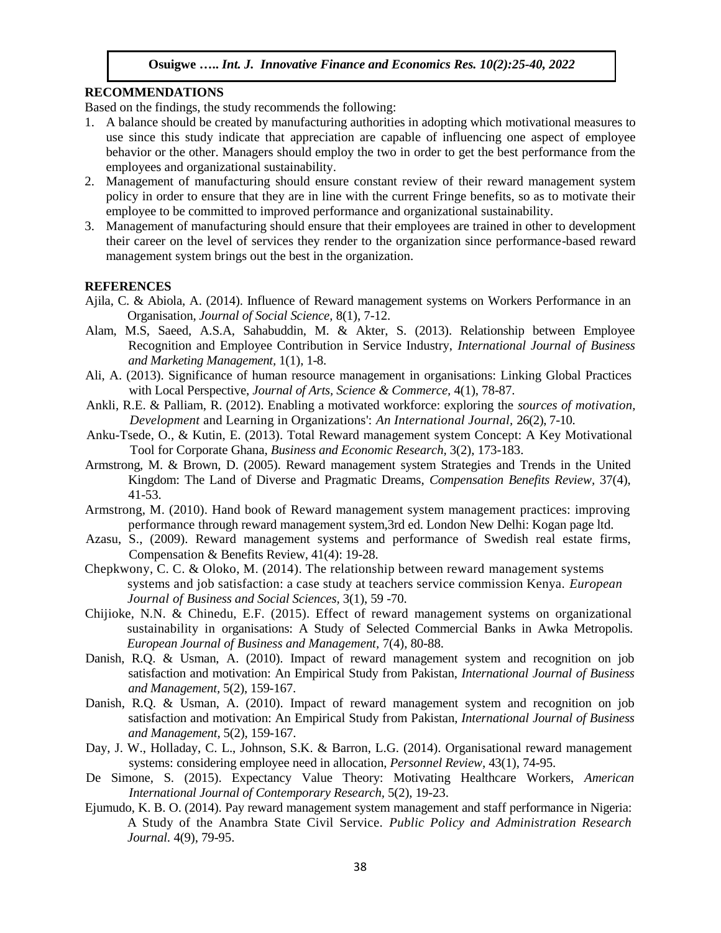## **RECOMMENDATIONS**

Based on the findings, the study recommends the following:

- 1. A balance should be created by manufacturing authorities in adopting which motivational measures to use since this study indicate that appreciation are capable of influencing one aspect of employee behavior or the other. Managers should employ the two in order to get the best performance from the employees and organizational sustainability.
- 2. Management of manufacturing should ensure constant review of their reward management system policy in order to ensure that they are in line with the current Fringe benefits, so as to motivate their employee to be committed to improved performance and organizational sustainability.
- 3. Management of manufacturing should ensure that their employees are trained in other to development their career on the level of services they render to the organization since performance-based reward management system brings out the best in the organization.

## **REFERENCES**

- Ajila, C. & Abiola, A. (2014). Influence of Reward management systems on Workers Performance in an Organisation, *Journal of Social Science,* 8(1), 7-12.
- Alam, M.S, Saeed, A.S.A, Sahabuddin, M. & Akter, S. (2013). Relationship between Employee Recognition and Employee Contribution in Service Industry, *International Journal of Business and Marketing Management,* 1(1), 1-8.
- Ali, A. (2013). Significance of human resource management in organisations: Linking Global Practices with Local Perspective, *Journal of Arts, Science & Commerce,* 4(1), 78-87.
- Ankli, R.E. & Palliam, R. (2012). Enabling a motivated workforce: exploring the *sources of motivation, Development* and Learning in Organizations': *An International Journal,* 26(2), 7-10.
- Anku-Tsede, O., & Kutin, E. (2013). Total Reward management system Concept: A Key Motivational Tool for Corporate Ghana, *Business and Economic Research,* 3(2), 173-183.
- Armstrong, M. & Brown, D. (2005). Reward management system Strategies and Trends in the United Kingdom: The Land of Diverse and Pragmatic Dreams, *Compensation Benefits Review,* 37(4), 41-53.
- Armstrong, M. (2010). Hand book of Reward management system management practices: improving performance through reward management system,3rd ed. London New Delhi: Kogan page ltd.
- Azasu, S., (2009). Reward management systems and performance of Swedish real estate firms, Compensation & Benefits Review, 41(4): 19-28.
- Chepkwony, C. C. & Oloko, M. (2014). The relationship between reward management systems systems and job satisfaction: a case study at teachers service commission Kenya. *European Journal of Business and Social Sciences,* 3(1), 59 -70.
- Chijioke, N.N. & Chinedu, E.F. (2015). Effect of reward management systems on organizational sustainability in organisations: A Study of Selected Commercial Banks in Awka Metropolis. *European Journal of Business and Management,* 7(4), 80-88.
- Danish, R.Q. & Usman, A. (2010). Impact of reward management system and recognition on job satisfaction and motivation: An Empirical Study from Pakistan, *International Journal of Business and Management,* 5(2), 159-167.
- Danish, R.Q. & Usman, A. (2010). Impact of reward management system and recognition on job satisfaction and motivation: An Empirical Study from Pakistan, *International Journal of Business and Management,* 5(2), 159-167.
- Day, J. W., Holladay, C. L., Johnson, S.K. & Barron, L.G. (2014). Organisational reward management systems: considering employee need in allocation, *Personnel Review,* 43(1), 74-95.
- De Simone, S. (2015). Expectancy Value Theory: Motivating Healthcare Workers, *American International Journal of Contemporary Research,* 5(2), 19-23.
- Ejumudo, K. B. O. (2014). Pay reward management system management and staff performance in Nigeria: A Study of the Anambra State Civil Service. *Public Policy and Administration Research Journal.* 4(9), 79-95.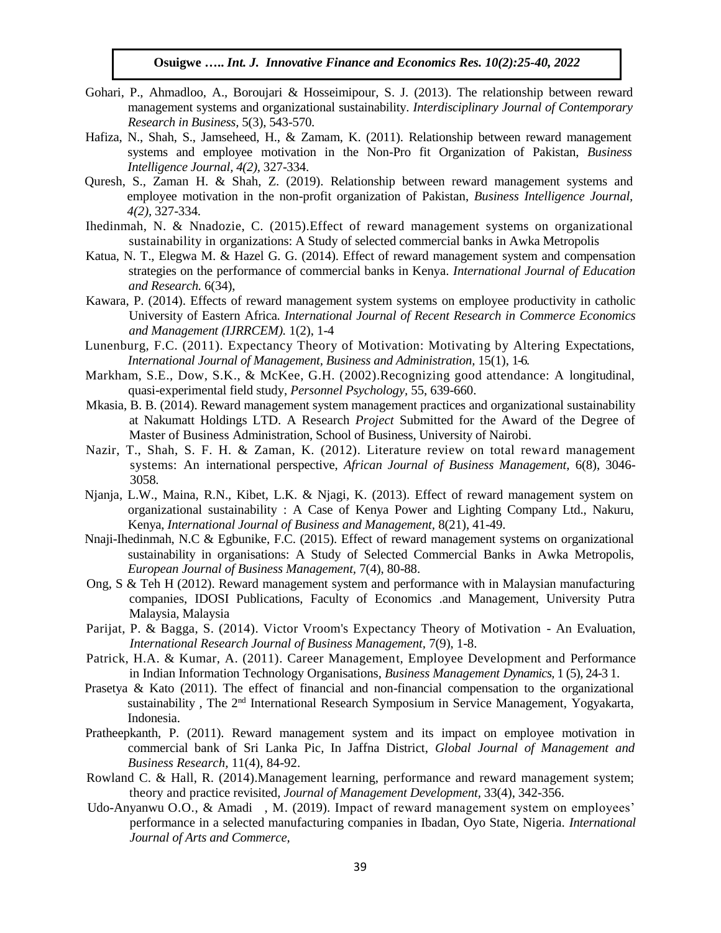- Gohari, P., Ahmadloo, A., Boroujari & Hosseimipour, S. J. (2013). The relationship between reward management systems and organizational sustainability. *Interdisciplinary Journal of Contemporary Research in Business,* 5(3), 543-570.
- Hafiza, N., Shah, S., Jamseheed, H., & Zamam, K. (2011). Relationship between reward management systems and employee motivation in the Non-Pro fit Organization of Pakistan, *Business Intelligence Journal, 4(2),* 327-334.
- Quresh, S., Zaman H. & Shah, Z. (2019). Relationship between reward management systems and employee motivation in the non-profit organization of Pakistan, *Business Intelligence Journal, 4(2),* 327-334.
- Ihedinmah, N. & Nnadozie, C. (2015).Effect of reward management systems on organizational sustainability in organizations: A Study of selected commercial banks in Awka Metropolis
- Katua, N. T., Elegwa M. & Hazel G. G. (2014). Effect of reward management system and compensation strategies on the performance of commercial banks in Kenya. *International Journal of Education and Research.* 6(34),
- Kawara, P. (2014). Effects of reward management system systems on employee productivity in catholic University of Eastern Africa*. International Journal of Recent Research in Commerce Economics and Management (IJRRCEM).* 1(2), 1-4
- Lunenburg, F.C. (2011). Expectancy Theory of Motivation: Motivating by Altering Expectations, *International Journal of Management, Business and Administration,* 15(1), 1-6.
- Markham, S.E., Dow, S.K., & McKee, G.H. (2002).Recognizing good attendance: A longitudinal, quasi-experimental field study, *Personnel Psychology,* 55, 639-660.
- Mkasia, B. B. (2014). Reward management system management practices and organizational sustainability at Nakumatt Holdings LTD. A Research *Project* Submitted for the Award of the Degree of Master of Business Administration, School of Business, University of Nairobi.
- Nazir, T., Shah, S. F. H. & Zaman, K. (2012). Literature review on total reward management systems: An international perspective, *African Journal of Business Management,* 6(8), 3046- 3058.
- Njanja, L.W., Maina, R.N., Kibet, L.K. & Njagi, K. (2013). Effect of reward management system on organizational sustainability : A Case of Kenya Power and Lighting Company Ltd., Nakuru, Kenya, *International Journal of Business and Management,* 8(21), 41-49.
- Nnaji-Ihedinmah, N.C & Egbunike, F.C. (2015). Effect of reward management systems on organizational sustainability in organisations: A Study of Selected Commercial Banks in Awka Metropolis, *European Journal of Business Management,* 7(4), 80-88.
- Ong, S & Teh H (2012). Reward management system and performance with in Malaysian manufacturing companies, IDOSI Publications, Faculty of Economics .and Management, University Putra Malaysia, Malaysia
- Parijat, P. & Bagga, S. (2014). Victor Vroom's Expectancy Theory of Motivation An Evaluation, *International Research Journal of Business Management,* 7(9), 1-8.
- Patrick, H.A. & Kumar, A. (2011). Career Management, Employee Development and Performance in Indian Information Technology Organisations, *Business Management Dynamics,* 1 (5), 24-3 1.
- Prasetya & Kato (2011). The effect of financial and non-financial compensation to the organizational sustainability , The 2nd International Research Symposium in Service Management, Yogyakarta, Indonesia.
- Pratheepkanth, P. (2011). Reward management system and its impact on employee motivation in commercial bank of Sri Lanka Pic, In Jaffna District, *Global Journal of Management and Business Research,* 11(4), 84-92.
- Rowland C. & Hall, R. (2014).Management learning, performance and reward management system; theory and practice revisited, *Journal of Management Development,* 33(4), 342-356.
- Udo-Anyanwu O.O., & Amadi , M. (2019). Impact of reward management system on employees' performance in a selected manufacturing companies in Ibadan, Oyo State, Nigeria. *International Journal of Arts and Commerce,*